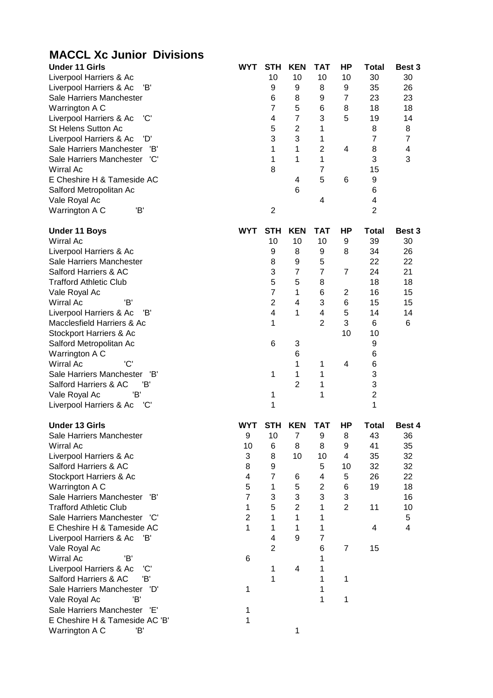| <b>MACCL Xc Junior Divisions</b>                                 |                     |                         |                                |                         |                     |                     |                     |
|------------------------------------------------------------------|---------------------|-------------------------|--------------------------------|-------------------------|---------------------|---------------------|---------------------|
| <b>Under 11 Girls</b>                                            | <b>WYT</b>          | <b>STH</b>              | <b>KEN</b>                     | <b>TAT</b>              | ΗP                  | <b>Total</b>        | Best 3              |
| Liverpool Harriers & Ac                                          |                     | 10                      | 10                             | 10                      | 10                  | 30                  | 30                  |
| Liverpool Harriers & Ac<br>Έ                                     |                     | 9                       | 9                              | 8                       | 9                   | 35                  | 26                  |
| Sale Harriers Manchester                                         |                     | 6                       | 8                              | 9                       | $\overline{7}$      | 23                  | 23                  |
| Warrington A C                                                   |                     | $\overline{7}$          | 5                              | 6                       | 8                   | 18                  | 18                  |
| 'C'<br>Liverpool Harriers & Ac                                   |                     | $\overline{\mathbf{4}}$ | $\overline{7}$                 | 3                       | 5                   | 19                  | 14                  |
| St Helens Sutton Ac                                              |                     | $\mathbf 5$             | $\overline{c}$                 | 1                       |                     | 8                   | 8                   |
| Liverpool Harriers & Ac<br>'D'                                   |                     | 3                       | 3                              | 1                       |                     | $\overline{7}$      | $\overline{7}$      |
| Sale Harriers Manchester 'B'                                     |                     | 1                       | 1                              | $\overline{2}$          | 4                   | 8                   | 4                   |
| Sale Harriers Manchester 'C'                                     |                     | 1                       | 1                              | $\mathbf{1}$            |                     | 3                   | 3                   |
| <b>Wirral Ac</b>                                                 |                     | 8                       |                                | $\overline{7}$          |                     | 15                  |                     |
| E Cheshire H & Tameside AC                                       |                     |                         | $\overline{\mathbf{4}}$        | 5                       | 6                   | 9                   |                     |
| Salford Metropolitan Ac                                          |                     |                         | 6                              |                         |                     | 6                   |                     |
| Vale Royal Ac<br>'B'                                             |                     |                         |                                | 4                       |                     | 4<br>$\overline{2}$ |                     |
| Warrington A C                                                   |                     | $\overline{c}$          |                                |                         |                     |                     |                     |
| <b>Under 11 Boys</b>                                             | <b>WYT</b>          | <b>STH</b>              | <b>KEN</b>                     | <b>TAT</b>              | ΗP                  | <b>Total</b>        | Best 3              |
| <b>Wirral Ac</b>                                                 |                     | 10                      | 10                             | 10                      | 9                   | 39                  | 30                  |
| Liverpool Harriers & Ac                                          |                     | 9                       | 8                              | 9                       | 8                   | 34                  | 26                  |
| Sale Harriers Manchester                                         |                     | 8                       | 9                              | 5                       |                     | 22                  | 22                  |
| Salford Harriers & AC                                            |                     | 3                       | $\overline{7}$                 | $\overline{7}$          | $\overline{7}$      | 24                  | 21                  |
| <b>Trafford Athletic Club</b>                                    |                     | $\mathbf 5$             | 5                              | 8                       |                     | 18                  | 18                  |
| Vale Royal Ac                                                    |                     | $\overline{7}$          | 1                              | 6                       | $\overline{2}$      | 16                  | 15                  |
| Wirral Ac<br>'B'                                                 |                     | $\overline{2}$          | 4                              | 3                       | 6                   | 15                  | 15                  |
| Liverpool Harriers & Ac<br>'B'                                   |                     | $\overline{\mathbf{4}}$ | 1                              | $\overline{\mathbf{4}}$ | 5                   | 14                  | 14                  |
| Macclesfield Harriers & Ac                                       |                     | 1                       |                                | $\overline{2}$          | 3                   | 6                   | 6                   |
| Stockport Harriers & Ac                                          |                     |                         |                                |                         | 10                  | 10                  |                     |
| Salford Metropolitan Ac                                          |                     | 6                       | 3                              |                         |                     | 9                   |                     |
| Warrington A C                                                   |                     |                         | 6                              |                         |                     | 6                   |                     |
| 'C'<br><b>Wirral Ac</b>                                          |                     |                         | 1                              | 1                       | 4                   | 6<br>3              |                     |
| Sale Harriers Manchester 'B'<br>Salford Harriers & AC<br>'В'     |                     | 1                       | 1<br>$\overline{2}$            | 1                       |                     | 3                   |                     |
| 'B'                                                              |                     | 1                       |                                | 1<br>1                  |                     | $\overline{2}$      |                     |
| Vale Royal Ac<br>Liverpool Harriers & Ac<br>'C'                  |                     | 1                       |                                |                         |                     | 1                   |                     |
|                                                                  |                     |                         |                                |                         |                     |                     |                     |
| <b>Under 13 Girls</b>                                            | WYT                 | <b>STH</b>              | <b>KEN</b>                     | <b>TAT</b>              | ΗP                  | <b>Total</b>        | Best 4              |
| Sale Harriers Manchester                                         | 9                   | 10                      | $\overline{7}$                 | 9                       | 8                   | 43                  | 36                  |
| <b>Wirral Ac</b>                                                 | 10                  | 6                       | 8                              | 8                       | 9                   | 41                  | 35                  |
| Liverpool Harriers & Ac                                          | 3                   | 8                       | 10                             | 10                      | 4                   | 35                  | 32                  |
| Salford Harriers & AC                                            | 8                   | 9                       |                                | 5                       | 10                  | 32                  | 32                  |
| Stockport Harriers & Ac                                          | 4                   | $\overline{7}$          | 6                              | $\overline{\mathbf{4}}$ | 5                   | 26                  | 22                  |
| Warrington A C                                                   | 5<br>$\overline{7}$ | $\mathbf{1}$            | 5                              | $\overline{2}$          | 6                   | 19                  | 18                  |
| Sale Harriers Manchester<br>'B'<br><b>Trafford Athletic Club</b> | $\mathbf{1}$        | 3<br>5                  | 3                              | 3<br>$\mathbf{1}$       | 3<br>$\overline{2}$ |                     | 16                  |
| Sale Harriers Manchester 'C'                                     | $\overline{2}$      | 1                       | $\overline{2}$<br>$\mathbf{1}$ | 1                       |                     | 11                  | 10                  |
| E Cheshire H & Tameside AC                                       | 1                   | 1                       | 1                              | 1                       |                     | 4                   | 5<br>$\overline{4}$ |
| Liverpool Harriers & Ac<br>'B'                                   |                     | 4                       | 9                              | $\overline{7}$          |                     |                     |                     |
| Vale Royal Ac                                                    |                     | $\overline{2}$          |                                | 6                       | $\overline{7}$      | 15                  |                     |
| <b>Wirral Ac</b><br>'B'                                          | 6                   |                         |                                | 1                       |                     |                     |                     |
| Liverpool Harriers & Ac<br>'C'                                   |                     | 1                       | 4                              | 1                       |                     |                     |                     |
| 'B'<br>Salford Harriers & AC                                     |                     | 1                       |                                | 1                       | 1                   |                     |                     |
| Sale Harriers Manchester<br>'D'                                  | 1                   |                         |                                | 1                       |                     |                     |                     |
| Έ<br>Vale Royal Ac                                               |                     |                         |                                | 1                       | 1                   |                     |                     |
| Sale Harriers Manchester<br>'E'                                  | 1                   |                         |                                |                         |                     |                     |                     |
| E Cheshire H & Tameside AC 'B'                                   | 1                   |                         |                                |                         |                     |                     |                     |
| 'B'<br>Warrington A C                                            |                     |                         | 1                              |                         |                     |                     |                     |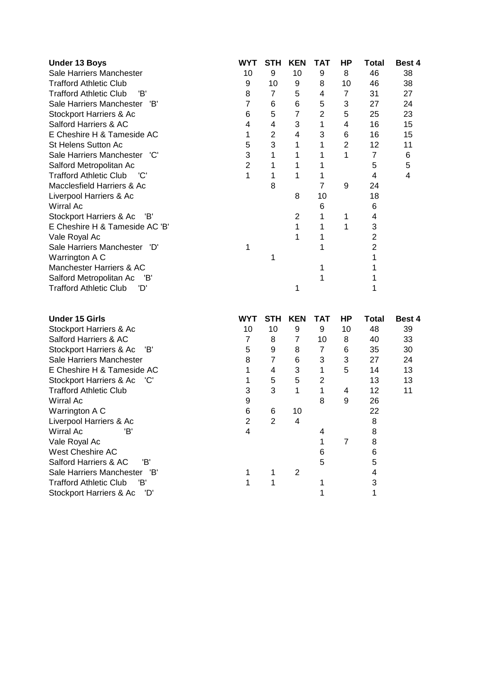| <b>Under 13 Boys</b>                 | <b>WYT</b> | <b>STH</b>     | <b>KEN</b> | ТАТ            | ΗP | Total | <b>Best 4</b> |
|--------------------------------------|------------|----------------|------------|----------------|----|-------|---------------|
| Sale Harriers Manchester             | 10         | 9              | 10         | 9              | 8  | 46    | 38            |
| Trafford Athletic Club               | 9          | 10             | 9          | 8              | 10 | 46    | 38            |
| <b>Trafford Athletic Club</b><br>'B' | 8          | 7              | 5          | 4              | 7  | 31    | 27            |
| Sale Harriers Manchester<br>'B'      | 7          | 6              | 6          | 5              | 3  | 27    | 24            |
| Stockport Harriers & Ac              | 6          | 5              | 7          | $\overline{2}$ | 5  | 25    | 23            |
| Salford Harriers & AC                | 4          | 4              | 3          | 1              | 4  | 16    | 15            |
| E Cheshire H & Tameside AC           | 1          | $\overline{2}$ | 4          | 3              | 6  | 16    | 15            |
| <b>St Helens Sutton Ac</b>           | 5          | 3              |            | 1              | 2  | 12    | 11            |
| Sale Harriers Manchester 'C'         | 3          |                |            |                |    | 7     | 6             |
| Salford Metropolitan Ac              | 2          |                |            |                |    | 5     | 5             |
| <b>Trafford Athletic Club</b><br>"C  |            |                |            |                |    | 4     | 4             |
| Macclesfield Harriers & Ac           |            | 8              |            |                | 9  | 24    |               |
| Liverpool Harriers & Ac              |            |                | 8          | 10             |    | 18    |               |
| Wirral Ac                            |            |                |            | 6              |    | 6     |               |
| Stockport Harriers & Ac 'B'          |            |                | 2          |                |    | 4     |               |
| E Cheshire H & Tameside AC 'B'       |            |                |            |                |    | 3     |               |
| Vale Royal Ac                        |            |                |            |                |    |       |               |
| Sale Harriers Manchester 'D'         |            |                |            |                |    |       |               |
| Warrington A C                       |            |                |            |                |    |       |               |
| Manchester Harriers & AC             |            |                |            |                |    |       |               |
| Salford Metropolitan Ac<br>'B'       |            |                |            |                |    |       |               |
| Trafford Athletic Club<br>'D'        |            |                | 1          |                |    |       |               |

| <b>Under 15 Girls</b>            | <b>WYT</b> | STH | <b>KEN</b> | ТАТ            | НP | <b>Total</b> | <b>Best 4</b> |
|----------------------------------|------------|-----|------------|----------------|----|--------------|---------------|
| Stockport Harriers & Ac          | 10         | 10  | 9          | 9              | 10 | 48           | 39            |
| Salford Harriers & AC            |            | 8   |            | 10             | 8  | 40           | 33            |
| Stockport Harriers & Ac<br>- 'B' | 5          | 9   | 8          | 7              | 6  | 35           | 30            |
| Sale Harriers Manchester         | 8          |     | 6          | 3              | 3  | 27           | 24            |
| E Cheshire H & Tameside AC       |            | 4   | 3          |                | 5  | 14           | 13            |
| Stockport Harriers & Ac 'C'      |            | 5   | 5          | $\overline{2}$ |    | 13           | 13            |
| <b>Trafford Athletic Club</b>    | 3          | 3   |            |                | 4  | 12           | 11            |
| Wirral Ac                        | 9          |     |            | 8              | 9  | 26           |               |
| Warrington A C                   | 6          | 6   | 10         |                |    | 22           |               |
| Liverpool Harriers & Ac          | 2          | 2   | 4          |                |    | 8            |               |
| Wirral Ac<br>'B'                 | 4          |     |            |                |    | 8            |               |
| Vale Royal Ac                    |            |     |            |                | 7  | 8            |               |
| West Cheshire AC                 |            |     |            | 6              |    | 6            |               |
| 'B'<br>Salford Harriers & AC     |            |     |            | 5              |    | 5            |               |
| Sale Harriers Manchester<br>'B'  |            |     | 2          |                |    | 4            |               |
| Trafford Athletic Club<br>'B'    |            |     |            |                |    |              |               |
| 'D'<br>Stockport Harriers & Ac   |            |     |            |                |    |              |               |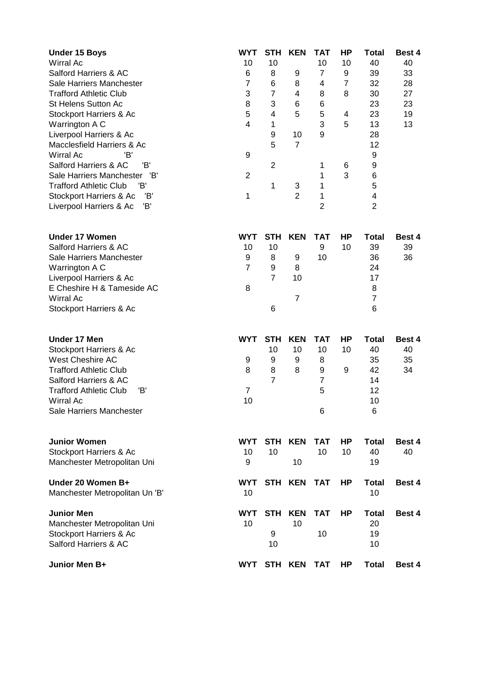| <b>Under 15 Boys</b><br><b>Wirral Ac</b><br>Salford Harriers & AC<br>Sale Harriers Manchester<br><b>Trafford Athletic Club</b><br>St Helens Sutton Ac<br>Stockport Harriers & Ac<br>Warrington A C<br>Liverpool Harriers & Ac<br>Macclesfield Harriers & Ac<br>'B'<br>Wirral Ac<br>'B'<br>Salford Harriers & AC<br>Sale Harriers Manchester<br>'B'<br>'B'<br><b>Trafford Athletic Club</b><br>Stockport Harriers & Ac<br>'B'<br>Έ<br>Liverpool Harriers & Ac | <b>WYT</b><br>10<br>6<br>$\overline{7}$<br>3<br>8<br>5<br>4<br>9<br>$\overline{2}$<br>1 | <b>STH</b><br>10<br>8<br>6<br>$\overline{7}$<br>3<br>4<br>$\mathbf 1$<br>9<br>5<br>$\overline{2}$<br>1 | <b>KEN</b><br>9<br>8<br>4<br>6<br>5<br>10<br>$\overline{7}$<br>3<br>$\overline{2}$ | TAT<br>10<br>$\overline{7}$<br>4<br>8<br>6<br>5<br>3<br>9<br>1<br>1<br>1<br>1<br>$\overline{2}$ | HP<br>10<br>9<br>$\overline{7}$<br>8<br>4<br>5<br>6<br>3 | Total<br>40<br>39<br>32<br>30<br>23<br>23<br>13<br>28<br>12<br>9<br>9<br>6<br>5<br>4<br>$\overline{2}$ | Best 4<br>40<br>33<br>28<br>27<br>23<br>19<br>13 |
|--------------------------------------------------------------------------------------------------------------------------------------------------------------------------------------------------------------------------------------------------------------------------------------------------------------------------------------------------------------------------------------------------------------------------------------------------------------|-----------------------------------------------------------------------------------------|--------------------------------------------------------------------------------------------------------|------------------------------------------------------------------------------------|-------------------------------------------------------------------------------------------------|----------------------------------------------------------|--------------------------------------------------------------------------------------------------------|--------------------------------------------------|
| <b>Under 17 Women</b><br>Salford Harriers & AC<br>Sale Harriers Manchester<br>Warrington A C<br>Liverpool Harriers & Ac<br>E Cheshire H & Tameside AC<br>Wirral Ac<br>Stockport Harriers & Ac                                                                                                                                                                                                                                                                | <b>WYT</b><br>10<br>9<br>$\overline{7}$<br>8                                            | <b>STH</b><br>10<br>8<br>9<br>$\overline{7}$<br>6                                                      | <b>KEN</b><br>9<br>8<br>10<br>$\overline{7}$                                       | <b>TAT</b><br>9<br>10                                                                           | НP<br>10                                                 | <b>Total</b><br>39<br>36<br>24<br>17<br>8<br>$\overline{7}$<br>6                                       | Best 4<br>39<br>36                               |
| Under 17 Men<br>Stockport Harriers & Ac<br>West Cheshire AC<br><b>Trafford Athletic Club</b><br>Salford Harriers & AC<br><b>Trafford Athletic Club</b><br>'B'<br><b>Wirral Ac</b><br>Sale Harriers Manchester                                                                                                                                                                                                                                                | <b>WYT</b><br>9<br>8<br>7<br>10                                                         | <b>STH</b><br>10<br>9<br>8<br>$\overline{7}$                                                           | <b>KEN</b><br>10<br>9<br>8                                                         | <b>TAT</b><br>10<br>8<br>9<br>7<br>5<br>6                                                       | HP<br>10<br>9                                            | <b>Total</b><br>40<br>35<br>42<br>14<br>12<br>10<br>6                                                  | Best 4<br>40<br>35<br>34                         |
| <b>Junior Women</b><br>Stockport Harriers & Ac<br>Manchester Metropolitan Uni                                                                                                                                                                                                                                                                                                                                                                                | <b>WYT</b><br>10<br>9                                                                   | <b>STH</b><br>10                                                                                       | <b>KEN</b><br>10                                                                   | <b>TAT</b><br>10                                                                                | HP<br>10                                                 | <b>Total</b><br>40<br>19                                                                               | Best 4<br>40                                     |
| Under 20 Women B+<br>Manchester Metropolitan Un 'B'                                                                                                                                                                                                                                                                                                                                                                                                          | <b>WYT</b><br>10                                                                        |                                                                                                        | STH KEN                                                                            | <b>TAT</b>                                                                                      | HP                                                       | <b>Total</b><br>10                                                                                     | Best 4                                           |
| <b>Junior Men</b><br>Manchester Metropolitan Uni<br>Stockport Harriers & Ac<br>Salford Harriers & AC                                                                                                                                                                                                                                                                                                                                                         | <b>WYT</b><br>10                                                                        | <b>STH</b><br>9<br>10                                                                                  | <b>KEN</b><br>10                                                                   | <b>TAT</b><br>10                                                                                | HP                                                       | <b>Total</b><br>20<br>19<br>10                                                                         | Best 4                                           |
| Junior Men B+                                                                                                                                                                                                                                                                                                                                                                                                                                                | WYT                                                                                     |                                                                                                        | STH KEN                                                                            | <b>TAT</b>                                                                                      | HP                                                       | <b>Total</b>                                                                                           | Best 4                                           |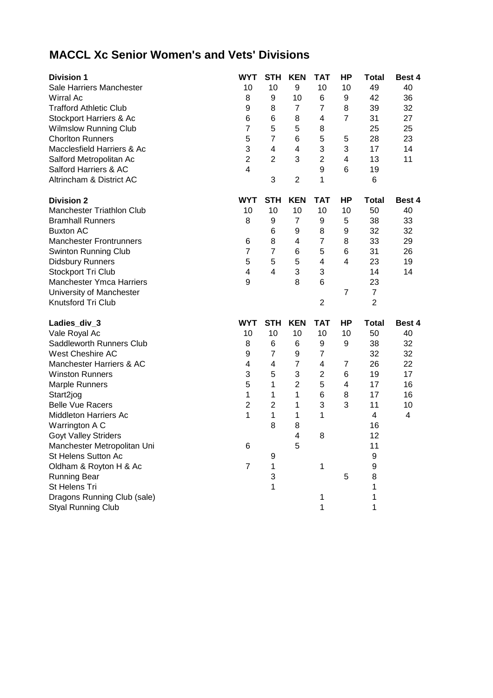## **MACCL Xc Senior Women's and Vets' Divisions**

| <b>Division 1</b>                                        | <b>WYT</b>     | <b>STH</b>              | <b>KEN</b>              | <b>TAT</b>     | HP                      | <b>Total</b>   | Best 4 |
|----------------------------------------------------------|----------------|-------------------------|-------------------------|----------------|-------------------------|----------------|--------|
| Sale Harriers Manchester                                 | 10             | 10                      | 9                       | 10             | 10                      | 49             | 40     |
| <b>Wirral Ac</b>                                         | 8              | 9                       | 10                      | 6              | 9                       | 42             | 36     |
| <b>Trafford Athletic Club</b>                            | 9              | 8                       | 7                       | $\overline{7}$ | 8                       | 39             | 32     |
| Stockport Harriers & Ac                                  | 6              | 6                       | 8                       | 4              | $\overline{7}$          | 31             | 27     |
| <b>Wilmslow Running Club</b>                             | $\overline{7}$ | 5                       | 5                       | 8              |                         | 25             | 25     |
| <b>Chorlton Runners</b>                                  | 5              | $\overline{7}$          | 6                       | 5              | 5                       | 28             | 23     |
| Macclesfield Harriers & Ac                               | 3              | 4                       | $\overline{\mathbf{4}}$ | 3              | 3                       | 17             | 14     |
| Salford Metropolitan Ac                                  | $\overline{c}$ | $\overline{2}$          | 3                       | $\overline{c}$ | 4                       | 13             | 11     |
| Salford Harriers & AC                                    | $\overline{4}$ |                         |                         | 9              | 6                       | 19             |        |
| Altrincham & District AC                                 |                | 3                       | $\overline{2}$          | 1              |                         | 6              |        |
| <b>Division 2</b>                                        | <b>WYT</b>     | <b>STH</b>              | <b>KEN</b>              | <b>TAT</b>     | HP                      | <b>Total</b>   | Best 4 |
| <b>Manchester Triathlon Club</b>                         | 10             | 10                      | 10                      | 10             | 10                      | 50             | 40     |
| <b>Bramhall Runners</b>                                  | 8              | 9                       | $\overline{7}$          | 9              | 5                       | 38             | 33     |
| <b>Buxton AC</b>                                         |                | $\,6$                   | 9                       | 8              | 9                       | 32             | 32     |
| <b>Manchester Frontrunners</b>                           | 6              | 8                       | $\overline{\mathbf{4}}$ | 7              | 8                       | 33             | 29     |
| <b>Swinton Running Club</b>                              | $\overline{7}$ | $\overline{7}$          | 6                       | 5              | $6\phantom{1}6$         | 31             | 26     |
| <b>Didsbury Runners</b>                                  | 5              | 5                       | 5                       | 4              | $\overline{\mathbf{4}}$ | 23             | 19     |
| Stockport Tri Club                                       | 4              | $\overline{4}$          | 3                       | 3              |                         | 14             | 14     |
| <b>Manchester Ymca Harriers</b>                          | 9              |                         | 8                       | 6              |                         | 23             |        |
| University of Manchester                                 |                |                         |                         |                | $\overline{7}$          | $\overline{7}$ |        |
| Knutsford Tri Club                                       |                |                         |                         | $\overline{2}$ |                         | $\overline{2}$ |        |
|                                                          |                |                         | <b>KEN</b>              | <b>TAT</b>     | HP                      | <b>Total</b>   | Best 4 |
| Ladies_div_3                                             | <b>WYT</b>     | <b>STH</b>              |                         |                |                         |                |        |
| Vale Royal Ac                                            | 10             | 10                      | 10                      | 10             | 10                      | 50             | 40     |
| Saddleworth Runners Club                                 | 8              | 6                       | 6                       | 9              | 9                       | 38             | 32     |
| West Cheshire AC                                         | 9              | $\overline{7}$          | 9                       | 7              |                         | 32             | 32     |
| Manchester Harriers & AC                                 | 4              | $\overline{\mathbf{4}}$ | $\overline{7}$          | 4              | $\overline{7}$          | 26             | 22     |
| <b>Winston Runners</b>                                   | 3              | 5                       | 3                       | $\overline{c}$ | 6                       | 19             | 17     |
| <b>Marple Runners</b>                                    | 5              | 1                       | $\overline{2}$          | 5              | 4                       | 17             | 16     |
| Start2jog                                                | 1              | $\mathbf{1}$            | 1                       | 6              | 8                       | 17             | 16     |
| <b>Belle Vue Racers</b>                                  | $\overline{2}$ | $\overline{2}$          | 1                       | 3              | 3                       | 11             | 10     |
| <b>Middleton Harriers Ac</b>                             | 1              | $\mathbf{1}$            | 1                       | 1              |                         | 4              | 4      |
| Warrington A C                                           |                | 8                       | 8                       |                |                         | 16             |        |
| <b>Goyt Valley Striders</b>                              |                |                         | $\overline{4}$          | 8              |                         | 12             |        |
| Manchester Metropolitan Uni                              | 6              |                         | 5                       |                |                         | 11             |        |
| St Helens Sutton Ac                                      |                | 9                       |                         |                |                         | 9              |        |
| Oldham & Royton H & Ac                                   | 7              | 1                       |                         | 1              |                         | 9              |        |
| <b>Running Bear</b>                                      |                | 3                       |                         |                | 5                       | 8              |        |
| St Helens Tri                                            |                | 1                       |                         |                |                         | 1              |        |
| Dragons Running Club (sale)<br><b>Styal Running Club</b> |                |                         |                         | 1<br>1         |                         | 1<br>1         |        |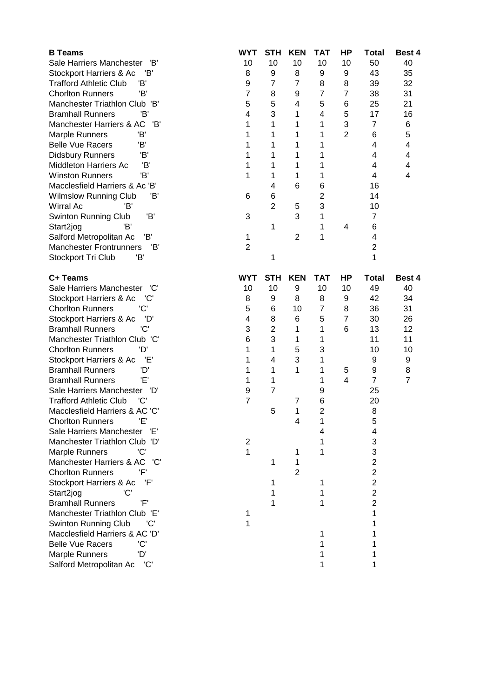| <b>B</b> Teams                                                   | <b>WYT</b>     | <b>STH</b>     | <b>KEN</b>     | <b>TAT</b>              | HP             | <b>Total</b>            | Best 4         |
|------------------------------------------------------------------|----------------|----------------|----------------|-------------------------|----------------|-------------------------|----------------|
| Sale Harriers Manchester<br>'B'                                  | 10             | 10             | 10             | 10                      | 10             | 50                      | 40             |
| Stockport Harriers & Ac<br>'B'                                   | 8              | 9              | 8              | 9                       | 9              | 43                      | 35             |
| <b>Trafford Athletic Club</b><br>'B'                             | 9              | $\overline{7}$ | $\overline{7}$ | 8                       | 8              | 39                      | 32             |
| 'B'<br><b>Chorlton Runners</b>                                   | $\overline{7}$ | 8              | 9              | $\overline{7}$          | $\overline{7}$ | 38                      | 31             |
| Manchester Triathlon Club 'B'                                    | 5              | 5              | 4              | 5                       | 6              | 25                      | 21             |
| <b>Bramhall Runners</b><br>'B'                                   | $\overline{4}$ | 3              | 1              | 4                       | 5              | 17                      | 16             |
| 'B'<br>Manchester Harriers & AC                                  | 1              | 1              | 1              | 1                       | 3              | $\overline{7}$          | 6              |
| 'B'<br><b>Marple Runners</b>                                     | 1              | 1              | 1              | 1                       | $\overline{2}$ | 6                       | 5              |
| Έ<br><b>Belle Vue Racers</b>                                     | 1              | 1              | 1              | 1                       |                | 4                       | 4              |
| <b>Didsbury Runners</b><br>'B'                                   | 1              | 1              | 1              | 1                       |                | 4                       | 4              |
| 'B'<br><b>Middleton Harriers Ac</b>                              | 1              | 1              | 1              | 1                       |                | 4                       | 4              |
| 'B'<br><b>Winston Runners</b>                                    | 1              | 1              | 1              | 1                       |                | 4                       | 4              |
| Macclesfield Harriers & Ac 'B'                                   |                | 4              | 6              | 6                       |                | 16                      |                |
| <b>Wilmslow Running Club</b><br>Έ                                | 6              | 6              |                | $\overline{\mathbf{c}}$ |                | 14                      |                |
| Wirral Ac<br>'B'                                                 |                | $\overline{2}$ | 5              | 3                       |                | 10                      |                |
| 'B'<br>Swinton Running Club                                      | 3              |                | 3              | 1                       |                | $\overline{7}$          |                |
| 'B'<br>Start2jog                                                 |                | 1              |                | 1                       | 4              | 6                       |                |
| Salford Metropolitan Ac<br>'B'                                   | 1              |                | 2              | 1                       |                | 4                       |                |
| <b>Manchester Frontrunners</b><br>'B'                            | $\overline{2}$ |                |                |                         |                | $\overline{2}$          |                |
| Stockport Tri Club<br>'B'                                        |                | 1              |                |                         |                | 1                       |                |
|                                                                  |                |                |                |                         |                |                         |                |
| C+ Teams                                                         | <b>WYT</b>     | <b>STH</b>     | <b>KEN</b>     | <b>TAT</b>              | HP             | <b>Total</b>            | Best 4         |
| Sale Harriers Manchester<br>'C'                                  | 10             | 10             | 9              | 10                      | 10             | 49                      | 40             |
| Stockport Harriers & Ac<br>'C'                                   | 8              | 9              | 8              | 8                       | 9              | 42                      | 34             |
| 'C'<br><b>Chorlton Runners</b>                                   | 5              | 6              | 10             | $\overline{7}$          | 8              | 36                      | 31             |
| Stockport Harriers & Ac<br>'D'                                   | 4              | 8              | 6              | 5                       | $\overline{7}$ | 30                      | 26             |
| 'C'<br><b>Bramhall Runners</b>                                   | 3              | $\overline{c}$ | 1              | 1                       | 6              | 13                      | 12             |
| Manchester Triathlon Club 'C'                                    | 6              | 3              | 1              | 1                       |                | 11                      | 11             |
| 'D'<br><b>Chorlton Runners</b>                                   | 1              | 1              | 5              | 3                       |                | 10                      | 10             |
| Έ'<br>Stockport Harriers & Ac                                    | 1              | 4              | 3              | 1                       |                | 9                       | 9              |
| <b>Bramhall Runners</b><br>'D'                                   | 1              | 1              | 1              | 1                       | 5              | $\boldsymbol{9}$        | 8              |
| Έ'<br><b>Bramhall Runners</b>                                    | 1              | 1              |                | 1                       | $\overline{4}$ | $\overline{7}$          | $\overline{7}$ |
| Sale Harriers Manchester<br>'D'                                  | 9              | $\overline{7}$ |                | 9                       |                | 25                      |                |
| 'C'<br><b>Trafford Athletic Club</b>                             | $\overline{7}$ |                | 7              | 6                       |                | 20                      |                |
| Macclesfield Harriers & AC 'C'                                   |                | 5              | 1              | $\overline{c}$          |                | 8                       |                |
| <b>Chorlton Runners</b>                                          |                |                | 4              |                         |                | 5                       |                |
| Sale Harriers Manchester<br>Έ'                                   |                |                |                | 4                       |                | 4                       |                |
| Manchester Triathlon Club 'D'                                    | $\overline{2}$ |                |                |                         |                | 3                       |                |
| Marple Runners<br>'C'                                            | 1              |                | 1              | 1                       |                | 3                       |                |
| Manchester Harriers & AC<br>'C'                                  |                | 1              | 1              |                         |                | $\overline{2}$          |                |
| <b>Chorlton Runners</b><br>'F'                                   |                |                | 2              |                         |                | $\overline{2}$          |                |
| Stockport Harriers & Ac<br>'F'                                   |                | 1              |                | 1                       |                | $\overline{c}$          |                |
| 'C'                                                              |                | 1              |                |                         |                | $\overline{\mathbf{c}}$ |                |
| Start2jog<br>'F'<br><b>Bramhall Runners</b>                      |                |                |                |                         |                | $\overline{2}$          |                |
| Manchester Triathlon Club 'E'                                    |                |                |                |                         |                | 1                       |                |
|                                                                  | 1              |                |                |                         |                |                         |                |
| <b>Swinton Running Club</b><br>'C'                               | 1              |                |                |                         |                | 1                       |                |
| Macclesfield Harriers & AC 'D'<br><b>Belle Vue Racers</b><br>'C' |                |                |                |                         |                |                         |                |
|                                                                  |                |                |                |                         |                |                         |                |
| 'D'<br>Marple Runners                                            |                |                |                |                         |                | 1                       |                |
| Salford Metropolitan Ac<br>'C'                                   |                |                |                | 1                       |                | 1                       |                |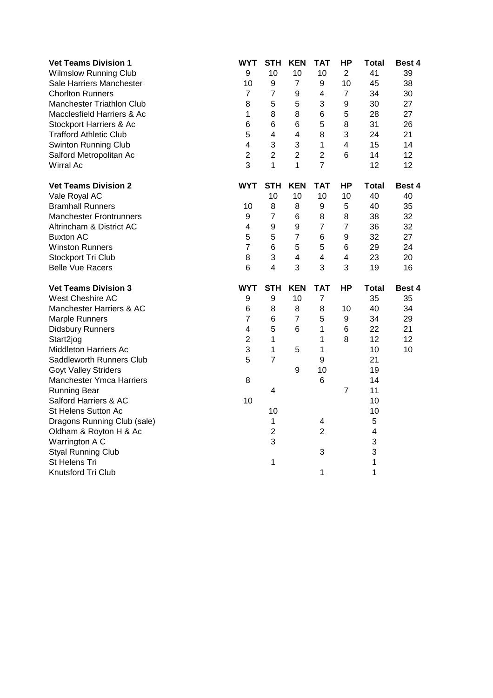| <b>Vet Teams Division 1</b>     | <b>WYT</b>              | <b>STH</b>              | <b>KEN</b>              | <b>TAT</b>              | <b>HP</b>      | <b>Total</b> | Best 4        |
|---------------------------------|-------------------------|-------------------------|-------------------------|-------------------------|----------------|--------------|---------------|
| <b>Wilmslow Running Club</b>    | 9                       | 10                      | 10                      | 10                      | $\overline{2}$ | 41           | 39            |
| Sale Harriers Manchester        | 10                      | $\boldsymbol{9}$        | $\overline{7}$          | 9                       | 10             | 45           | 38            |
| <b>Chorlton Runners</b>         | $\overline{7}$          | $\overline{7}$          | 9                       | 4                       | $\overline{7}$ | 34           | 30            |
| Manchester Triathlon Club       | 8                       | 5                       | 5                       | 3                       | 9              | 30           | 27            |
| Macclesfield Harriers & Ac      | $\mathbf{1}$            | 8                       | 8                       | 6                       | 5              | 28           | 27            |
| Stockport Harriers & Ac         | $\,6$                   | $\,6$                   | 6                       | 5                       | 8              | 31           | 26            |
| <b>Trafford Athletic Club</b>   | 5                       | $\overline{\mathbf{4}}$ | $\overline{\mathbf{4}}$ | 8                       | 3              | 24           | 21            |
| <b>Swinton Running Club</b>     | $\overline{4}$          | 3                       | 3                       | $\mathbf{1}$            | 4              | 15           | 14            |
| Salford Metropolitan Ac         | $\overline{2}$          | $\overline{c}$          | $\overline{2}$          | $\overline{2}$          | 6              | 14           | 12            |
| Wirral Ac                       | 3                       | $\mathbf{1}$            | 1                       | $\overline{7}$          |                | 12           | 12            |
| <b>Vet Teams Division 2</b>     | <b>WYT</b>              | <b>STH</b>              | <b>KEN</b>              | <b>TAT</b>              | <b>HP</b>      | <b>Total</b> | Best 4        |
| Vale Royal AC                   |                         | 10                      | 10                      | 10                      | 10             | 40           | 40            |
| <b>Bramhall Runners</b>         | 10                      | 8                       | 8                       | 9                       | 5              | 40           | 35            |
| <b>Manchester Frontrunners</b>  | 9                       | $\overline{7}$          | 6                       | 8                       | 8              | 38           | 32            |
| Altrincham & District AC        | 4                       | $\boldsymbol{9}$        | 9                       | $\overline{7}$          | $\overline{7}$ | 36           | 32            |
| <b>Buxton AC</b>                | 5                       | 5                       | $\overline{7}$          | 6                       | 9              | 32           | 27            |
| <b>Winston Runners</b>          | $\overline{7}$          | $6\phantom{1}$          | 5                       | 5                       | 6              | 29           | 24            |
| Stockport Tri Club              | 8                       | 3                       | 4                       | $\overline{\mathbf{4}}$ | 4              | 23           | 20            |
| <b>Belle Vue Racers</b>         | 6                       | $\overline{4}$          | 3                       | 3                       | 3              | 19           | 16            |
| <b>Vet Teams Division 3</b>     | <b>WYT</b>              | <b>STH</b>              | <b>KEN</b>              | <b>TAT</b>              | ΗP             | <b>Total</b> | <b>Best 4</b> |
| West Cheshire AC                | 9                       | $\boldsymbol{9}$        | 10                      | $\overline{7}$          |                | 35           | 35            |
| Manchester Harriers & AC        | 6                       | 8                       | 8                       | 8                       | 10             | 40           | 34            |
| <b>Marple Runners</b>           | $\overline{7}$          | 6                       | $\overline{7}$          | 5                       | 9              | 34           | 29            |
| <b>Didsbury Runners</b>         | $\overline{\mathbf{4}}$ | 5                       | 6                       | 1                       | 6              | 22           | 21            |
| Start2jog                       | $\overline{2}$          | $\mathbf{1}$            |                         | 1                       | 8              | 12           | 12            |
| <b>Middleton Harriers Ac</b>    | 3                       | $\mathbf{1}$            | 5                       | $\mathbf{1}$            |                | 10           | 10            |
| Saddleworth Runners Club        | 5                       | $\overline{7}$          |                         | 9                       |                | 21           |               |
| <b>Goyt Valley Striders</b>     |                         |                         | 9                       | 10                      |                | 19           |               |
| <b>Manchester Ymca Harriers</b> | 8                       |                         |                         | 6                       |                | 14           |               |
| <b>Running Bear</b>             |                         | $\overline{\mathbf{4}}$ |                         |                         | $\overline{7}$ | 11           |               |
| Salford Harriers & AC           | 10                      |                         |                         |                         |                | 10           |               |
| St Helens Sutton Ac             |                         | 10                      |                         |                         |                | 10           |               |
| Dragons Running Club (sale)     |                         | 1                       |                         | 4                       |                | 5            |               |
| Oldham & Royton H & Ac          |                         | $\overline{c}$          |                         | $\overline{2}$          |                | 4            |               |
| Warrington A C                  |                         | 3                       |                         |                         |                | 3            |               |
| <b>Styal Running Club</b>       |                         |                         |                         | 3                       |                | 3            |               |
| St Helens Tri                   |                         | 1                       |                         |                         |                | 1            |               |
| Knutsford Tri Club              |                         |                         |                         | 1                       |                | 1            |               |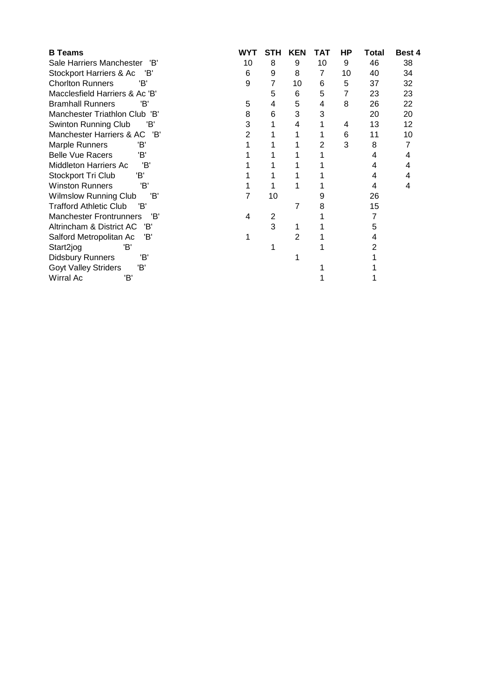| <b>B</b> Teams                        | WYT | STH | <b>KEN</b> | ТАТ | ΗP | Total | <b>Best 4</b> |
|---------------------------------------|-----|-----|------------|-----|----|-------|---------------|
| Sale Harriers Manchester<br>'B'       | 10  | 8   | 9          | 10  | 9  | 46    | 38            |
| Stockport Harriers & Ac<br>'B'        | 6   | 9   | 8          | 7   | 10 | 40    | 34            |
| <b>Chorlton Runners</b><br>'B'        | 9   | 7   | 10         | 6   | 5  | 37    | 32            |
| Macclesfield Harriers & Ac 'B'        |     | 5   | 6          | 5   | 7  | 23    | 23            |
| <b>Bramhall Runners</b><br>'B'        | 5   | 4   | 5          | 4   | 8  | 26    | 22            |
| Manchester Triathlon Club 'B'         | 8   | 6   | 3          | 3   |    | 20    | 20            |
| Swinton Running Club<br>'B'           | 3   | 1   | 4          |     | 4  | 13    | 12            |
| Manchester Harriers & AC<br>'B'       | 2   |     |            |     | 6  | 11    | 10            |
| Marple Runners<br>'B'                 |     |     |            | 2   | 3  | 8     | 7             |
| <b>Belle Vue Racers</b><br>'B'        |     |     |            |     |    | 4     | 4             |
| 'B'<br>Middleton Harriers Ac          |     |     |            |     |    | 4     | 4             |
| Stockport Tri Club<br>'B'             |     |     |            |     |    | 4     | 4             |
| <b>Winston Runners</b><br>'B'         |     |     |            |     |    | 4     | 4             |
| 'B'<br><b>Wilmslow Running Club</b>   | 7   | 10  |            |     |    | 26    |               |
| <b>Trafford Athletic Club</b><br>'R'  |     |     | 7          | 8   |    | 15    |               |
| <b>Manchester Frontrunners</b><br>'B' | 4   | 2   |            |     |    |       |               |
| Altrincham & District AC<br>'B'       |     | 3   |            |     |    | 5     |               |
| 'B'<br>Salford Metropolitan Ac        |     |     | 2          |     |    |       |               |
| Start2jog<br>'B'                      |     |     |            |     |    |       |               |
| 'B'<br><b>Didsbury Runners</b>        |     |     |            |     |    |       |               |
| <b>Goyt Valley Striders</b><br>'B'    |     |     |            |     |    |       |               |
| Wirral Ac<br>'B'                      |     |     |            |     |    |       |               |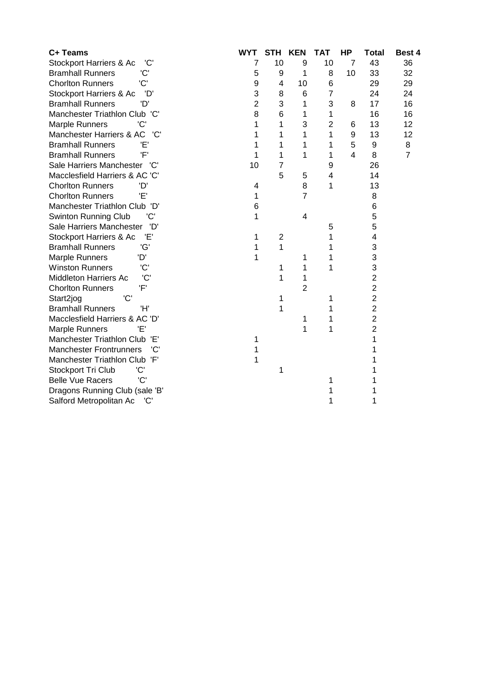| C+ Teams                              | <b>WYT</b>     | <b>STH</b>              | <b>KEN</b>     | <b>TAT</b>     | <b>HP</b>      | <b>Total</b>   | Best 4         |
|---------------------------------------|----------------|-------------------------|----------------|----------------|----------------|----------------|----------------|
| Stockport Harriers & Ac<br>'C'        | 7              | 10                      | 9              | 10             | $\overline{7}$ | 43             | 36             |
| <b>Bramhall Runners</b><br>'C'        | 5              | 9                       | 1              | 8              | 10             | 33             | 32             |
| 'C'<br><b>Chorlton Runners</b>        | 9              | 4                       | 10             | 6              |                | 29             | 29             |
| 'D'<br>Stockport Harriers & Ac        | 3              | 8                       | 6              | 7              |                | 24             | 24             |
| <b>Bramhall Runners</b><br>'D'        | $\overline{2}$ | 3                       | 1              | 3              | 8              | 17             | 16             |
| Manchester Triathlon Club 'C'         | 8              | 6                       | 1              | 1              |                | 16             | 16             |
| Marple Runners<br>'C'                 | 1              | 1                       | 3              | $\overline{2}$ | 6              | 13             | 12             |
| Manchester Harriers & AC<br>'C'       | 1              | 1                       | 1              | 1              | 9              | 13             | 12             |
| <b>Bramhall Runners</b><br>Έ'         | 1              | 1                       | 1              | 1              | 5              | 9              | 8              |
| 'F'<br><b>Bramhall Runners</b>        | 1              | 1                       | 1              | 1              | 4              | 8              | $\overline{7}$ |
| Sale Harriers Manchester<br>'C'       | 10             | 7                       |                | 9              |                | 26             |                |
| Macclesfield Harriers & AC 'C'        |                | 5                       | 5              | 4              |                | 14             |                |
| <b>Chorlton Runners</b><br>'D'        | 4              |                         | 8              | 1              |                | 13             |                |
| Έ'<br><b>Chorlton Runners</b>         |                |                         | $\overline{7}$ |                |                | 8              |                |
| Manchester Triathlon Club 'D'         | 6              |                         |                |                |                | 6              |                |
| 'C'<br>Swinton Running Club           | 1              |                         | 4              |                |                | 5              |                |
| Sale Harriers Manchester<br>'D'       |                |                         |                | 5              |                | 5              |                |
| Έ'<br>Stockport Harriers & Ac         | 1              | $\overline{\mathbf{c}}$ |                | 1              |                | 4              |                |
| 'G'<br><b>Bramhall Runners</b>        | 1              | 1                       |                | 1              |                | 3              |                |
| 'D'<br>Marple Runners                 | 1              |                         | 1              | 1              |                | 3              |                |
| <b>Winston Runners</b><br>'C'         |                | 1                       | 1              | 1              |                | 3              |                |
| 'C'<br><b>Middleton Harriers Ac</b>   |                | 1                       | 1              |                |                | $\overline{2}$ |                |
| <b>Chorlton Runners</b><br>'F'        |                |                         | $\overline{2}$ |                |                | $\overline{2}$ |                |
| 'C'<br>Start2jog                      |                | 1                       |                | 1              |                | $\overline{2}$ |                |
| <b>Bramhall Runners</b><br>'H'        |                | 1                       |                | 1              |                | $\overline{2}$ |                |
| Macclesfield Harriers & AC 'D'        |                |                         | 1              | 1              |                | $\overline{2}$ |                |
| 'F'<br><b>Marple Runners</b>          |                |                         | 1              | 1              |                | $\overline{2}$ |                |
| Manchester Triathlon Club 'E'         |                |                         |                |                |                |                |                |
| 'C'<br><b>Manchester Frontrunners</b> | 1              |                         |                |                |                |                |                |
| Manchester Triathlon Club 'F'         | 1              |                         |                |                |                |                |                |
| Stockport Tri Club<br>'C'             |                | 1                       |                |                |                |                |                |
| 'C'<br><b>Belle Vue Racers</b>        |                |                         |                | 1              |                |                |                |
| Dragons Running Club (sale 'B'        |                |                         |                |                |                |                |                |
| Salford Metropolitan Ac<br>'C'        |                |                         |                | 1              |                | 1              |                |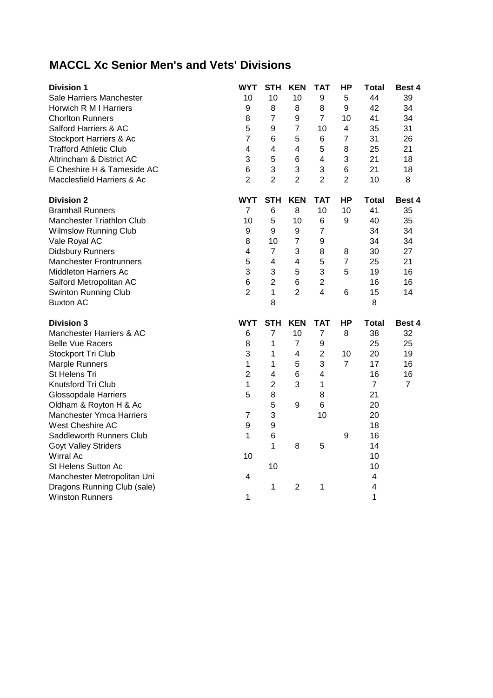## **MACCL Xc Senior Men's and Vets' Divisions**

| <b>Division 1</b>                | <b>WYT</b>       | <b>STH</b>     | <b>KEN</b>              | TAT                     | <b>HP</b>      | <b>Total</b>            | Best 4         |
|----------------------------------|------------------|----------------|-------------------------|-------------------------|----------------|-------------------------|----------------|
| Sale Harriers Manchester         | 10               | 10             | 10                      | 9                       | 5              | 44                      | 39             |
| Horwich R M I Harriers           | 9                | 8              | 8                       | 8                       | 9              | 42                      | 34             |
| <b>Chorlton Runners</b>          | 8                | $\overline{7}$ | 9                       | $\overline{7}$          | 10             | 41                      | 34             |
| Salford Harriers & AC            | 5                | 9              | $\overline{7}$          | 10                      | 4              | 35                      | 31             |
| Stockport Harriers & Ac          | $\overline{7}$   | 6              | 5                       | 6                       | $\overline{7}$ | 31                      | 26             |
| <b>Trafford Athletic Club</b>    | 4                | 4              | 4                       | 5                       | 8              | 25                      | 21             |
| Altrincham & District AC         | 3                | 5              | $6\phantom{1}6$         | $\overline{\mathbf{4}}$ | 3              | 21                      | 18             |
| E Cheshire H & Tameside AC       | 6                | 3              | 3                       | 3                       | 6              | 21                      | 18             |
| Macclesfield Harriers & Ac       | $\overline{2}$   | $\overline{2}$ | $\overline{2}$          | $\overline{2}$          | $\overline{2}$ | 10                      | 8              |
| <b>Division 2</b>                | <b>WYT</b>       | <b>STH</b>     | <b>KEN</b>              | <b>TAT</b>              | ΗP             | <b>Total</b>            | Best 4         |
| <b>Bramhall Runners</b>          | $\overline{7}$   | 6              | 8                       | 10                      | 10             | 41                      | 35             |
| <b>Manchester Triathlon Club</b> | 10               | 5              | 10                      | 6                       | 9              | 40                      | 35             |
| <b>Wilmslow Running Club</b>     | 9                | 9              | 9                       | $\overline{7}$          |                | 34                      | 34             |
| Vale Royal AC                    | 8                | 10             | $\overline{7}$          | $\boldsymbol{9}$        |                | 34                      | 34             |
| <b>Didsbury Runners</b>          | 4                | $\overline{7}$ | 3                       | 8                       | 8              | 30                      | 27             |
| <b>Manchester Frontrunners</b>   | 5                | 4              | 4                       | 5                       | $\overline{7}$ | 25                      | 21             |
| <b>Middleton Harriers Ac</b>     | 3                | 3              | 5                       | 3                       | 5              | 19                      | 16             |
| Salford Metropolitan AC          | 6                | $\overline{2}$ | 6                       | $\overline{2}$          |                | 16                      | 16             |
| Swinton Running Club             | $\overline{2}$   | $\mathbf{1}$   | $\overline{2}$          | $\overline{\mathbf{4}}$ | 6              | 15                      | 14             |
| <b>Buxton AC</b>                 |                  | 8              |                         |                         |                | 8                       |                |
| <b>Division 3</b>                | <b>WYT</b>       | <b>STH</b>     | <b>KEN</b>              | <b>TAT</b>              | ΗP             | <b>Total</b>            | <b>Best 4</b>  |
| Manchester Harriers & AC         | 6                | $\overline{7}$ | 10                      | $\overline{7}$          | 8              | 38                      | 32             |
| <b>Belle Vue Racers</b>          | 8                | 1              | $\overline{7}$          | 9                       |                | 25                      | 25             |
| Stockport Tri Club               | 3                | 1              | $\overline{\mathbf{4}}$ | $\overline{2}$          | 10             | 20                      | 19             |
| <b>Marple Runners</b>            | $\mathbf{1}$     | 1              | 5                       | 3                       | $\overline{7}$ | 17                      | 16             |
| St Helens Tri                    | $\overline{2}$   | 4              | 6                       | $\overline{4}$          |                | 16                      | 16             |
| Knutsford Tri Club               | 1                | $\overline{c}$ | 3                       | 1                       |                | $\overline{7}$          | $\overline{7}$ |
| <b>Glossopdale Harriers</b>      | 5                | 8              |                         | 8                       |                | 21                      |                |
| Oldham & Royton H & Ac           |                  | 5              | 9                       | 6                       |                | 20                      |                |
| <b>Manchester Ymca Harriers</b>  | $\overline{7}$   | 3              |                         | 10                      |                | 20                      |                |
| West Cheshire AC                 | $\boldsymbol{9}$ | 9              |                         |                         |                | 18                      |                |
| Saddleworth Runners Club         | 1                | 6              |                         |                         | 9              | 16                      |                |
| <b>Goyt Valley Striders</b>      |                  | 1              | 8                       | 5                       |                | 14                      |                |
| <b>Wirral Ac</b>                 | 10               |                |                         |                         |                | 10                      |                |
| St Helens Sutton Ac              |                  | 10             |                         |                         |                | 10                      |                |
| Manchester Metropolitan Uni      | 4                |                |                         |                         |                | 4                       |                |
| Dragons Running Club (sale)      |                  | 1              | 2                       | 1                       |                | $\overline{\mathbf{4}}$ |                |
| <b>Winston Runners</b>           | 1                |                |                         |                         |                | 1                       |                |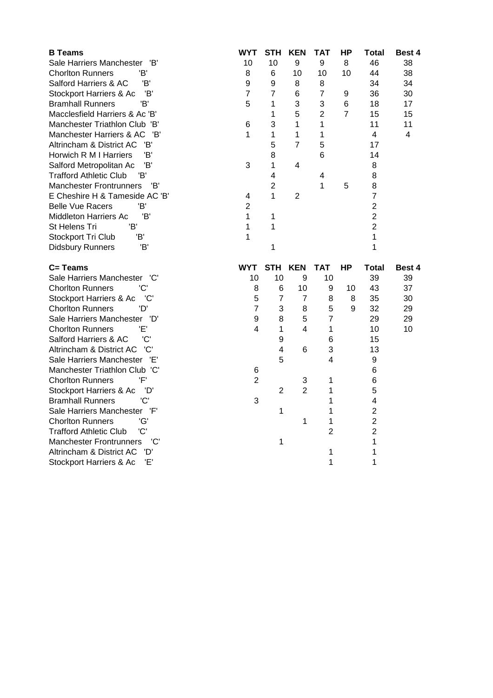| <b>B</b> Teams                                                   | <b>WYT</b>     | <b>STH</b>     | <b>KEN</b>       | <b>TAT</b>              | <b>HP</b>      | <b>Total</b>            | Best 4 |
|------------------------------------------------------------------|----------------|----------------|------------------|-------------------------|----------------|-------------------------|--------|
| Sale Harriers Manchester 'B'                                     | 10             | 10             | $\boldsymbol{9}$ | 9                       | 8              | 46                      | 38     |
| 'B'<br><b>Chorlton Runners</b>                                   | 8              | 6              | 10               | 10                      | 10             | 44                      | 38     |
| Salford Harriers & AC<br>'B'                                     | 9              | 9              | 8                | 8                       |                | 34                      | 34     |
| Stockport Harriers & Ac<br>'B'                                   | $\overline{7}$ | $\overline{7}$ | $6\phantom{1}6$  | $\overline{7}$          | 9              | 36                      | 30     |
| 'B'<br><b>Bramhall Runners</b>                                   | 5              | 1              | 3                | 3                       | 6              | 18                      | 17     |
| Macclesfield Harriers & Ac 'B'                                   |                | 1              | 5                | $\overline{2}$          | $\overline{7}$ | 15                      | 15     |
| Manchester Triathlon Club 'B'                                    | 6              | 3              | 1                | 1                       |                | 11                      | 11     |
| Manchester Harriers & AC 'B'                                     | 1              | 1              | 1                | 1                       |                | 4                       | 4      |
| 'B'<br>Altrincham & District AC                                  |                | 5              | $\overline{7}$   | 5                       |                | 17                      |        |
| 'B'<br>Horwich R M I Harriers                                    |                | 8              |                  | 6                       |                | 14                      |        |
| 'B'<br>Salford Metropolitan Ac                                   | 3              | 1              | 4                |                         |                | 8                       |        |
| <b>Trafford Athletic Club</b><br>'B'                             |                | 4              |                  | $\overline{\mathbf{4}}$ |                | 8                       |        |
| <b>Manchester Frontrunners</b><br>'B'                            |                | $\overline{2}$ |                  | 1                       | 5              | 8                       |        |
| E Cheshire H & Tameside AC 'B'                                   | 4              | 1              | $\overline{2}$   |                         |                | $\overline{7}$          |        |
| 'B'<br><b>Belle Vue Racers</b>                                   | $\overline{2}$ |                |                  |                         |                | $\overline{2}$          |        |
| 'B'<br>Middleton Harriers Ac                                     | 1              | 1              |                  |                         |                | $\overline{2}$          |        |
| 'B'<br>St Helens Tri                                             | 1              | 1              |                  |                         |                | $\overline{2}$          |        |
| Stockport Tri Club<br>'B'                                        | 1              |                |                  |                         |                | 1                       |        |
| 'B'<br><b>Didsbury Runners</b>                                   |                | 1              |                  |                         |                | 1                       |        |
|                                                                  |                |                |                  |                         |                |                         |        |
|                                                                  |                |                |                  |                         |                |                         |        |
| $C = T$ eams                                                     | <b>WYT</b>     | <b>STH</b>     | <b>KEN</b>       | <b>TAT</b>              | HP             | <b>Total</b>            | Best 4 |
| Sale Harriers Manchester 'C'                                     | 10             | 10             | 9                | 10                      |                | 39                      | 39     |
| 'C'<br><b>Chorlton Runners</b>                                   | 8              | 6              | 10               | 9                       | 10             | 43                      | 37     |
| Stockport Harriers & Ac<br>'C'                                   | 5              | $\overline{7}$ | $\overline{7}$   | 8                       | 8              | 35                      | 30     |
| 'D'<br><b>Chorlton Runners</b>                                   | $\overline{7}$ | 3              | 8                | 5                       | 9              | 32                      | 29     |
| Sale Harriers Manchester 'D'                                     | 9              | 8              | 5                | $\overline{7}$          |                | 29                      | 29     |
| 'F'<br><b>Chorlton Runners</b>                                   | 4              | 1              | 4                | $\mathbf{1}$            |                | 10                      | 10     |
| 'C'<br>Salford Harriers & AC                                     |                | 9              |                  | 6                       |                | 15                      |        |
| 'C'<br>Altrincham & District AC                                  |                | 4              | 6                | 3                       |                | 13                      |        |
| Sale Harriers Manchester 'E'                                     |                | 5              |                  | 4                       |                | $\boldsymbol{9}$        |        |
| Manchester Triathlon Club 'C'                                    | 6              |                |                  |                         |                | 6                       |        |
| 'F'<br><b>Chorlton Runners</b>                                   | $\mathbf{2}$   |                | 3                | 1                       |                | 6                       |        |
| Stockport Harriers & Ac<br>'D'                                   |                | $\overline{2}$ | $\overline{2}$   | 1                       |                | 5                       |        |
| 'C'<br><b>Bramhall Runners</b>                                   | 3              |                |                  | 1                       |                | $\overline{\mathbf{4}}$ |        |
| Sale Harriers Manchester 'F'                                     |                | 1              |                  | 1                       |                | $\overline{2}$          |        |
| 'G'<br><b>Chorlton Runners</b>                                   |                |                | 1                | 1                       |                | $\overline{2}$          |        |
| 'C'<br><b>Trafford Athletic Club</b>                             |                |                |                  | $\overline{2}$          |                | $\overline{2}$          |        |
| 'C'<br><b>Manchester Frontrunners</b>                            |                | 1              |                  |                         |                | 1                       |        |
| Altrincham & District AC<br>'D'<br>Stockport Harriers & Ac<br>Έ' |                |                |                  | 1<br>1                  |                | 1<br>1                  |        |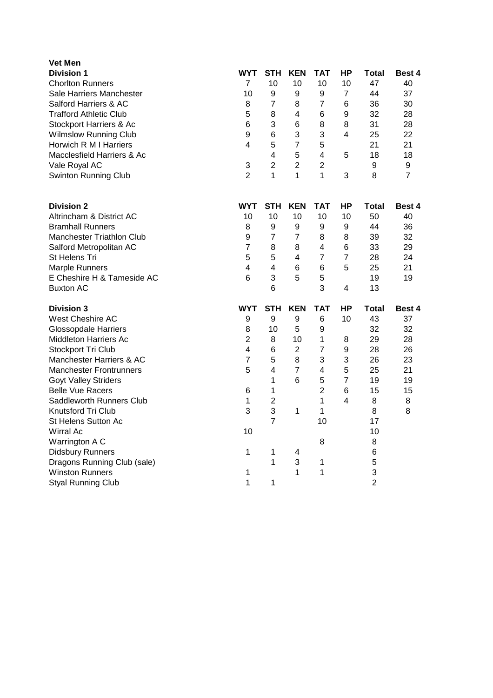| <b>Vet Men</b>                 |                 |                |                  |                         |                         |                |               |
|--------------------------------|-----------------|----------------|------------------|-------------------------|-------------------------|----------------|---------------|
| <b>Division 1</b>              | <b>WYT</b>      | <b>STH</b>     | <b>KEN</b>       | <b>TAT</b>              | ΗP                      | Total          | <b>Best 4</b> |
| <b>Chorlton Runners</b>        | 7               | 10             | 10               | 10                      | 10                      | 47             | 40            |
| Sale Harriers Manchester       | 10              | 9              | 9                | 9                       | $\overline{7}$          | 44             | 37            |
| Salford Harriers & AC          | 8               | $\overline{7}$ | 8                | $\overline{7}$          | 6                       | 36             | 30            |
| <b>Trafford Athletic Club</b>  | 5               | 8              | 4                | 6                       | 9                       | 32             | 28            |
| Stockport Harriers & Ac        | $6\phantom{1}6$ | 3              | 6                | 8                       | 8                       | 31             | 28            |
| <b>Wilmslow Running Club</b>   | 9               | 6              | 3                | 3                       | $\overline{\mathbf{4}}$ | 25             | 22            |
| Horwich R M I Harriers         | 4               | 5              | $\overline{7}$   | 5                       |                         | 21             | 21            |
| Macclesfield Harriers & Ac     |                 | 4              | 5                | 4                       | 5                       | 18             | 18            |
| Vale Royal AC                  | 3               | $\overline{2}$ | $\overline{2}$   | $\overline{c}$          |                         | 9              | 9             |
| <b>Swinton Running Club</b>    | $\overline{2}$  | 1              | 1                | $\mathbf{1}$            | 3                       | 8              | 7             |
| <b>Division 2</b>              | <b>WYT</b>      | <b>STH</b>     | <b>KEN</b>       | <b>TAT</b>              | НP                      | <b>Total</b>   | Best 4        |
| Altrincham & District AC       | 10              | 10             | 10               | 10                      | 10                      | 50             | 40            |
| <b>Bramhall Runners</b>        | 8               | 9              | 9                | 9                       | 9                       | 44             | 36            |
| Manchester Triathlon Club      | 9               | $\overline{7}$ | $\overline{7}$   | 8                       | 8                       | 39             | 32            |
| Salford Metropolitan AC        | $\overline{7}$  | 8              | 8                | 4                       | 6                       | 33             | 29            |
| St Helens Tri                  | 5               | 5              | 4                | 7                       | $\overline{7}$          | 28             | 24            |
| <b>Marple Runners</b>          | 4               | 4              | 6                | 6                       | 5                       | 25             | 21            |
| E Cheshire H & Tameside AC     | $6\phantom{1}$  | 3              | 5                | 5                       |                         | 19             | 19            |
| <b>Buxton AC</b>               |                 | 6              |                  | 3                       | $\overline{\mathbf{4}}$ | 13             |               |
| <b>Division 3</b>              | <b>WYT</b>      | <b>STH</b>     | <b>KEN</b>       | <b>TAT</b>              | HP                      | Total          | <b>Best 4</b> |
| West Cheshire AC               | 9               | 9              | $\boldsymbol{9}$ | 6                       | 10                      | 43             | 37            |
| <b>Glossopdale Harriers</b>    | 8               | 10             | 5                | 9                       |                         | 32             | 32            |
| Middleton Harriers Ac          | $\overline{2}$  | 8              | 10               | 1                       | 8                       | 29             | 28            |
| Stockport Tri Club             | 4               | 6              | $\overline{2}$   | $\overline{7}$          | 9                       | 28             | 26            |
| Manchester Harriers & AC       | $\overline{7}$  | 5              | 8                | 3                       | 3                       | 26             | 23            |
| <b>Manchester Frontrunners</b> | 5               | $\overline{4}$ | $\overline{7}$   | $\overline{\mathbf{4}}$ | 5                       | 25             | 21            |
| <b>Goyt Valley Striders</b>    |                 | 1              | 6                | 5                       | $\overline{7}$          | 19             | 19            |
| <b>Belle Vue Racers</b>        | 6               | 1              |                  | $\overline{2}$          | $6\phantom{1}6$         | 15             | 15            |
| Saddleworth Runners Club       | 1               | $\overline{2}$ |                  | 1                       | 4                       | 8              | 8             |
| Knutsford Tri Club             | 3               | 3              | 1                | 1                       |                         | 8              | 8             |
| St Helens Sutton Ac            |                 | $\overline{7}$ |                  | 10                      |                         | 17             |               |
| Wirral Ac                      | 10              |                |                  |                         |                         | 10             |               |
| Warrington A C                 |                 |                |                  | 8                       |                         | 8              |               |
| <b>Didsbury Runners</b>        | 1               | 1              | 4                |                         |                         | 6              |               |
| Dragons Running Club (sale)    |                 | 1              | 3                | 1                       |                         | 5              |               |
| <b>Winston Runners</b>         | 1               |                | 1                | 1                       |                         | 3              |               |
| <b>Styal Running Club</b>      | 1               | 1              |                  |                         |                         | $\overline{c}$ |               |
|                                |                 |                |                  |                         |                         |                |               |